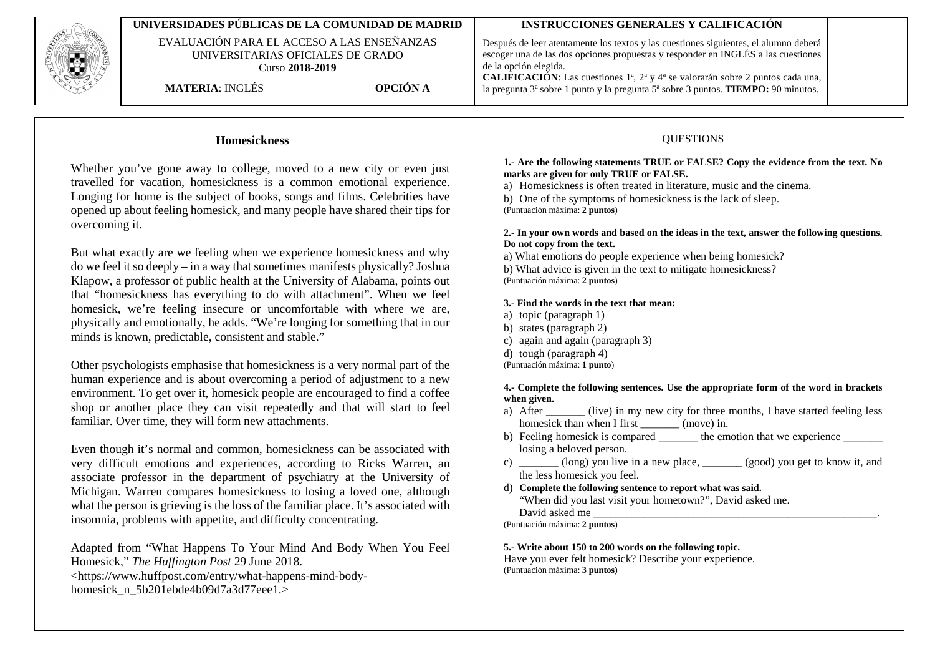

physically and emotionally, he adds. "We're longing for something that in our minds is known, predictable, consistent and stable."

Other psychologists emphasise that homesickness is a very normal part of the human experience and is about overcoming a period of adjustment to a new environment. To get over it, homesick people are encouraged to find a coffee shop or another place they can visit repeatedly and that will start to feel familiar. Over time, they will form new attachments.

Even though it's normal and common, homesickness can be associated with very difficult emotions and experiences, according to Ricks Warren, an associate professor in the department of psychiatry at the University of Michigan. Warren compares homesickness to losing a loved one, although what the person is grieving is the loss of the familiar place. It's associated with insomnia, problems with appetite, and difficulty concentrating.

Adapted from "What Happens To Your Mind And Body When You Feel Homesick," *The Huffington Post* 29 June 2018. <https://www.huffpost.com/entry/what-happens-mind-bodyhomesick\_n\_5b201ebde4b09d7a3d77eee1.>

- a) topic (paragraph 1)
- b) states (paragraph 2)
- c) again and again (paragraph 3)
- d) tough (paragraph 4)

(Puntuación máxima: **1 punto**)

## **4.- Complete the following sentences. Use the appropriate form of the word in brackets when given.**

- a) After (live) in my new city for three months, I have started feeling less homesick than when I first \_\_\_\_\_\_\_\_ (move) in.
- b) Feeling homesick is compared  $\frac{1}{\sqrt{1-\frac{1}{n}}}\$  the emotion that we experience  $\frac{1}{\sqrt{1-\frac{1}{n}}}\$ losing a beloved person.
- c) \_\_\_\_\_\_\_ (long) you live in a new place, \_\_\_\_\_\_\_ (good) you get to know it, and the less homesick you feel.
- d) **Complete the following sentence to report what was said.** "When did you last visit your hometown?", David asked me. David asked me

(Puntuación máxima: **2 puntos**)

## **5.- Write about 150 to 200 words on the following topic.**

Have you ever felt homesick? Describe your experience. (Puntuación máxima: **3 puntos)**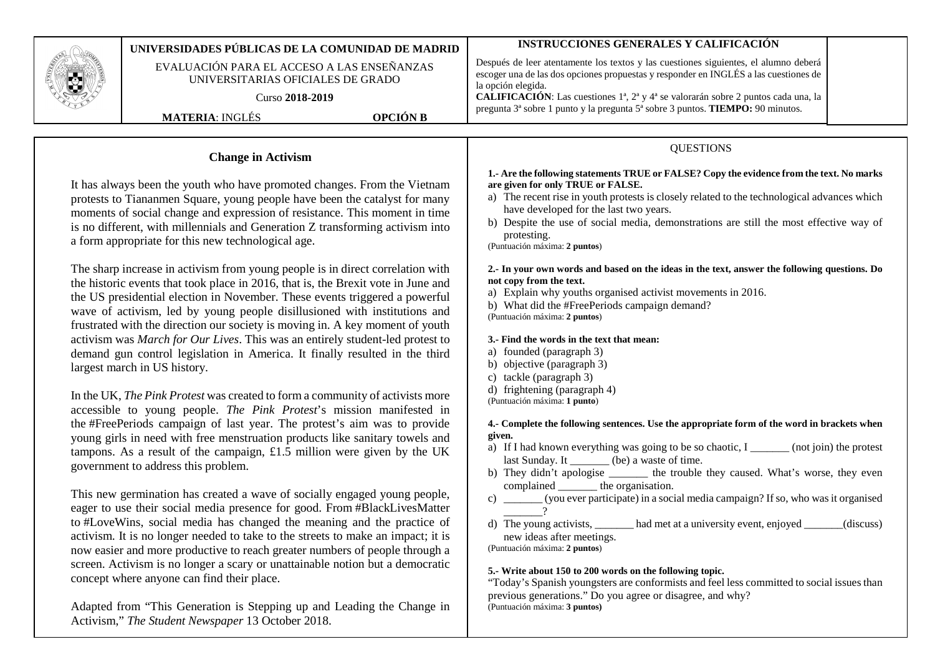|                                                                                                                                                                                                                                                                                                                                                                                                                                                                                                                                                                                                                                                                                                                                                                                                                                                                                                                                                                                                                                                                                                                                                                                                                                                                                                                                                                                                                                                                                                                                                                                                                                                                                                                                                                                                                                                                                                                                                                                                                                                                                                                                          | UNIVERSIDADES PÚBLICAS DE LA COMUNIDAD DE MADRID<br>EVALUACIÓN PARA EL ACCESO A LAS ENSEÑANZAS<br>UNIVERSITARIAS OFICIALES DE GRADO<br>Curso 2018-2019<br><b>MATERIA: INGLÉS</b> | <b>OPCIÓN B</b> | <b>INSTRUCCIONES GENERALES Y CALIFICACIÓN</b><br>Después de leer atentamente los textos y las cuestiones siguientes, el alumno deberá<br>escoger una de las dos opciones propuestas y responder en INGLÉS a las cuestiones de<br>la opción elegida.<br>CALIFICACIÓN: Las cuestiones 1ª, 2ª y 4ª se valorarán sobre 2 puntos cada una, la<br>pregunta 3 <sup>ª</sup> sobre 1 punto y la pregunta 5 <sup>ª</sup> sobre 3 puntos. TIEMPO: 90 minutos.                                                                                                                                                                                                                                                                                                                                                                                                                                                                                                                                                                                                                                                                                                                                                                                                                                                                                                                                                                                                                                                                                                                                                                                                                                                                                                                                                                                  |
|------------------------------------------------------------------------------------------------------------------------------------------------------------------------------------------------------------------------------------------------------------------------------------------------------------------------------------------------------------------------------------------------------------------------------------------------------------------------------------------------------------------------------------------------------------------------------------------------------------------------------------------------------------------------------------------------------------------------------------------------------------------------------------------------------------------------------------------------------------------------------------------------------------------------------------------------------------------------------------------------------------------------------------------------------------------------------------------------------------------------------------------------------------------------------------------------------------------------------------------------------------------------------------------------------------------------------------------------------------------------------------------------------------------------------------------------------------------------------------------------------------------------------------------------------------------------------------------------------------------------------------------------------------------------------------------------------------------------------------------------------------------------------------------------------------------------------------------------------------------------------------------------------------------------------------------------------------------------------------------------------------------------------------------------------------------------------------------------------------------------------------------|----------------------------------------------------------------------------------------------------------------------------------------------------------------------------------|-----------------|-------------------------------------------------------------------------------------------------------------------------------------------------------------------------------------------------------------------------------------------------------------------------------------------------------------------------------------------------------------------------------------------------------------------------------------------------------------------------------------------------------------------------------------------------------------------------------------------------------------------------------------------------------------------------------------------------------------------------------------------------------------------------------------------------------------------------------------------------------------------------------------------------------------------------------------------------------------------------------------------------------------------------------------------------------------------------------------------------------------------------------------------------------------------------------------------------------------------------------------------------------------------------------------------------------------------------------------------------------------------------------------------------------------------------------------------------------------------------------------------------------------------------------------------------------------------------------------------------------------------------------------------------------------------------------------------------------------------------------------------------------------------------------------------------------------------------------------|
| <b>Change in Activism</b><br>It has always been the youth who have promoted changes. From the Vietnam<br>protests to Tiananmen Square, young people have been the catalyst for many<br>moments of social change and expression of resistance. This moment in time<br>is no different, with millennials and Generation Z transforming activism into<br>a form appropriate for this new technological age.<br>The sharp increase in activism from young people is in direct correlation with<br>the historic events that took place in 2016, that is, the Brexit vote in June and<br>the US presidential election in November. These events triggered a powerful<br>wave of activism, led by young people disillusioned with institutions and<br>frustrated with the direction our society is moving in. A key moment of youth<br>activism was March for Our Lives. This was an entirely student-led protest to<br>demand gun control legislation in America. It finally resulted in the third<br>largest march in US history.<br>In the UK, The Pink Protest was created to form a community of activists more<br>accessible to young people. The Pink Protest's mission manifested in<br>the #FreePeriods campaign of last year. The protest's aim was to provide<br>young girls in need with free menstruation products like sanitary towels and<br>tampons. As a result of the campaign, £1.5 million were given by the UK<br>government to address this problem.<br>This new germination has created a wave of socially engaged young people,<br>eager to use their social media presence for good. From #BlackLivesMatter<br>to #LoveWins, social media has changed the meaning and the practice of<br>activism. It is no longer needed to take to the streets to make an impact; it is<br>now easier and more productive to reach greater numbers of people through a<br>screen. Activism is no longer a scary or unattainable notion but a democratic<br>concept where anyone can find their place.<br>Adapted from "This Generation is Stepping up and Leading the Change in<br>Activism," The Student Newspaper 13 October 2018. |                                                                                                                                                                                  |                 | <b>QUESTIONS</b><br>1.- Are the following statements TRUE or FALSE? Copy the evidence from the text. No marks<br>are given for only TRUE or FALSE.<br>a) The recent rise in youth protests is closely related to the technological advances which<br>have developed for the last two years.<br>b) Despite the use of social media, demonstrations are still the most effective way of<br>protesting.<br>(Puntuación máxima: 2 puntos)<br>2.- In your own words and based on the ideas in the text, answer the following questions. Do<br>not copy from the text.<br>a) Explain why youths organised activist movements in 2016.<br>b) What did the #FreePeriods campaign demand?<br>(Puntuación máxima: 2 puntos)<br>3.- Find the words in the text that mean:<br>a) founded (paragraph 3)<br>b) objective (paragraph 3)<br>c) tackle (paragraph 3)<br>d) frightening (paragraph 4)<br>(Puntuación máxima: 1 punto)<br>4.- Complete the following sentences. Use the appropriate form of the word in brackets when<br>given.<br>a) If I had known everything was going to be so chaotic, I _______ (not join) the protest<br>last Sunday. It _______ (be) a waste of time.<br>b) They didn't apologise _______ the trouble they caused. What's worse, they even<br>complained ________ the organisation.<br>c) _______(you ever participate) in a social media campaign? If so, who was it organised<br>$\Omega$<br>d) The young activists, _______ had met at a university event, enjoyed ______<br>(discuss)<br>new ideas after meetings.<br>(Puntuación máxima: 2 puntos)<br>5.- Write about 150 to 200 words on the following topic.<br>"Today's Spanish youngsters are conformists and feel less committed to social issues than<br>previous generations." Do you agree or disagree, and why?<br>(Puntuación máxima: 3 puntos) |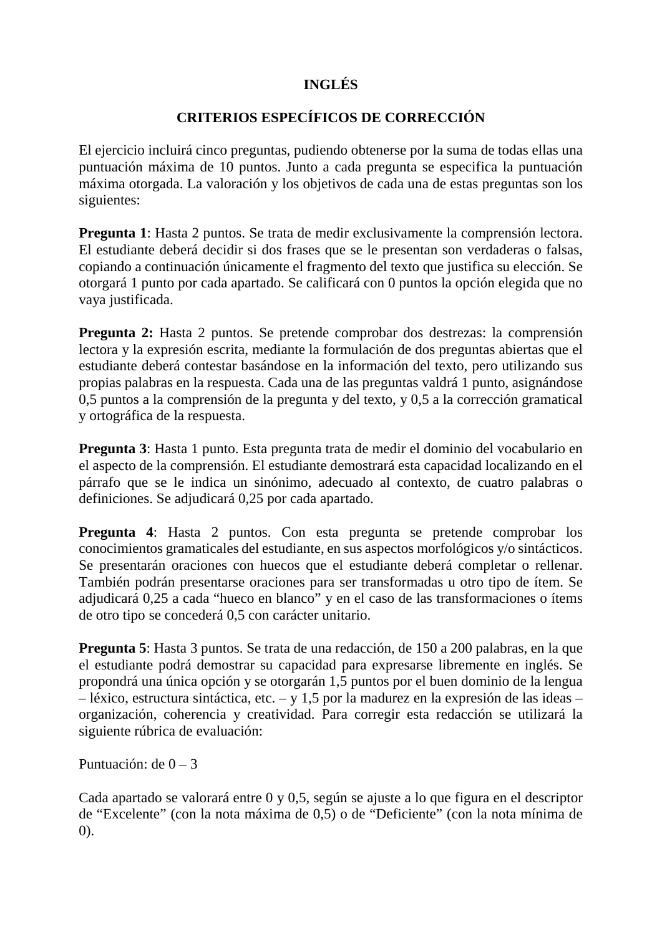## **INGLÉS**

## **CRITERIOS ESPECÍFICOS DE CORRECCIÓN**

El ejercicio incluirá cinco preguntas, pudiendo obtenerse por la suma de todas ellas una puntuación máxima de 10 puntos. Junto a cada pregunta se especifica la puntuación máxima otorgada. La valoración y los objetivos de cada una de estas preguntas son los siguientes:

**Pregunta 1**: Hasta 2 puntos. Se trata de medir exclusivamente la comprensión lectora. El estudiante deberá decidir si dos frases que se le presentan son verdaderas o falsas, copiando a continuación únicamente el fragmento del texto que justifica su elección. Se otorgará 1 punto por cada apartado. Se calificará con 0 puntos la opción elegida que no vaya justificada.

**Pregunta 2:** Hasta 2 puntos. Se pretende comprobar dos destrezas: la comprensión lectora y la expresión escrita, mediante la formulación de dos preguntas abiertas que el estudiante deberá contestar basándose en la información del texto, pero utilizando sus propias palabras en la respuesta. Cada una de las preguntas valdrá 1 punto, asignándose 0,5 puntos a la comprensión de la pregunta y del texto, y 0,5 a la corrección gramatical y ortográfica de la respuesta.

**Pregunta 3**: Hasta 1 punto. Esta pregunta trata de medir el dominio del vocabulario en el aspecto de la comprensión. El estudiante demostrará esta capacidad localizando en el párrafo que se le indica un sinónimo, adecuado al contexto, de cuatro palabras o definiciones. Se adjudicará 0,25 por cada apartado.

**Pregunta 4**: Hasta 2 puntos. Con esta pregunta se pretende comprobar los conocimientos gramaticales del estudiante, en sus aspectos morfológicos y/o sintácticos. Se presentarán oraciones con huecos que el estudiante deberá completar o rellenar. También podrán presentarse oraciones para ser transformadas u otro tipo de ítem. Se adjudicará 0,25 a cada "hueco en blanco" y en el caso de las transformaciones o ítems de otro tipo se concederá 0,5 con carácter unitario.

**Pregunta 5**: Hasta 3 puntos. Se trata de una redacción, de 150 a 200 palabras, en la que el estudiante podrá demostrar su capacidad para expresarse libremente en inglés. Se propondrá una única opción y se otorgarán 1,5 puntos por el buen dominio de la lengua – léxico, estructura sintáctica, etc. – y 1,5 por la madurez en la expresión de las ideas – organización, coherencia y creatividad. Para corregir esta redacción se utilizará la siguiente rúbrica de evaluación:

Puntuación: de  $0 - 3$ 

Cada apartado se valorará entre 0 y 0,5, según se ajuste a lo que figura en el descriptor de "Excelente" (con la nota máxima de 0,5) o de "Deficiente" (con la nota mínima de 0).